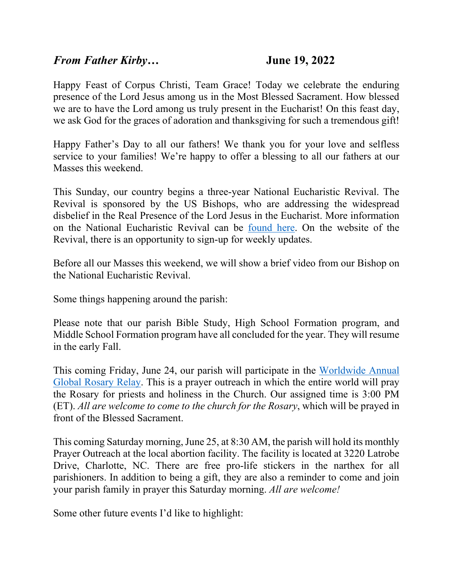## *From Father Kirby…* **June 19, 2022**

Happy Feast of Corpus Christi, Team Grace! Today we celebrate the enduring presence of the Lord Jesus among us in the Most Blessed Sacrament. How blessed we are to have the Lord among us truly present in the Eucharist! On this feast day, we ask God for the graces of adoration and thanksgiving for such a tremendous gift!

Happy Father's Day to all our fathers! We thank you for your love and selfless service to your families! We're happy to offer a blessing to all our fathers at our Masses this weekend.

This Sunday, our country begins a three-year National Eucharistic Revival. The Revival is sponsored by the US Bishops, who are addressing the widespread disbelief in the Real Presence of the Lord Jesus in the Eucharist. More information on the National Eucharistic Revival can be [found here.](https://www.eucharisticrevival.org/) On the website of the Revival, there is an opportunity to sign-up for weekly updates.

Before all our Masses this weekend, we will show a brief video from our Bishop on the National Eucharistic Revival.

Some things happening around the parish:

Please note that our parish Bible Study, High School Formation program, and Middle School Formation program have all concluded for the year. They will resume in the early Fall.

This coming Friday, June 24, our parish will participate in the [Worldwide Annual](https://www.worldpriest.com/annual-global-rosary-relay/)  [Global Rosary](https://www.worldpriest.com/annual-global-rosary-relay/) Relay. This is a prayer outreach in which the entire world will pray the Rosary for priests and holiness in the Church. Our assigned time is 3:00 PM (ET). *All are welcome to come to the church for the Rosary*, which will be prayed in front of the Blessed Sacrament.

This coming Saturday morning, June 25, at 8:30 AM, the parish will hold its monthly Prayer Outreach at the local abortion facility. The facility is located at 3220 Latrobe Drive, Charlotte, NC. There are free pro-life stickers in the narthex for all parishioners. In addition to being a gift, they are also a reminder to come and join your parish family in prayer this Saturday morning. *All are welcome!*

Some other future events I'd like to highlight: